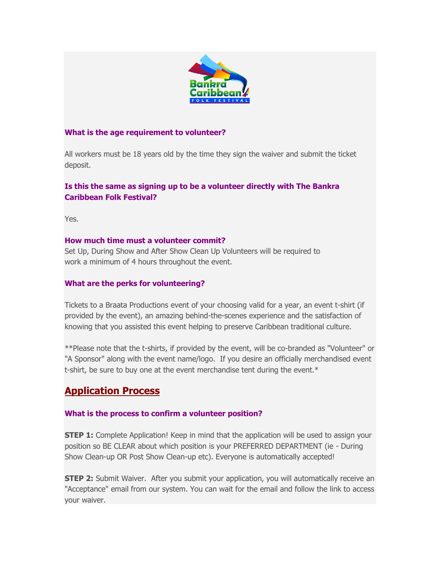

### **What is the age requirement to volunteer?**

All workers must be 18 years old by the time they sign the waiver and submit the ticket deposit.

## **Is this the same as signing up to be a volunteer directly with The Bankra Caribbean Folk Festival?**

Yes.

### **How much time must a volunteer commit?**

Set Up, During Show and After Show Clean Up Volunteers will be required to work a minimum of 4 hours throughout the event.

### **What are the perks for volunteering?**

Tickets to a Braata Productions event of your choosing valid for a year, an event t-shirt (if provided by the event), an amazing behind-the-scenes experience and the satisfaction of knowing that you assisted this event helping to preserve Caribbean traditional culture.

\*\*Please note that the t-shirts, if provided by the event, will be co-branded as "Volunteer" or "A Sponsor" along with the event name/logo. If you desire an officially merchandised event t-shirt, be sure to buy one at the event merchandise tent during the event.\*

# **Application Process**

### **What is the process to confirm a volunteer position?**

**STEP 1:** Complete Application! Keep in mind that the application will be used to assign your position so BE CLEAR about which position is your PREFERRED DEPARTMENT (ie - During Show Clean-up OR Post Show Clean-up etc). Everyone is automatically accepted!

**STEP 2:** Submit Waiver. After you submit your application, you will automatically receive an "Acceptance" email from our system. You can wait for the email and follow the link to access your waiver.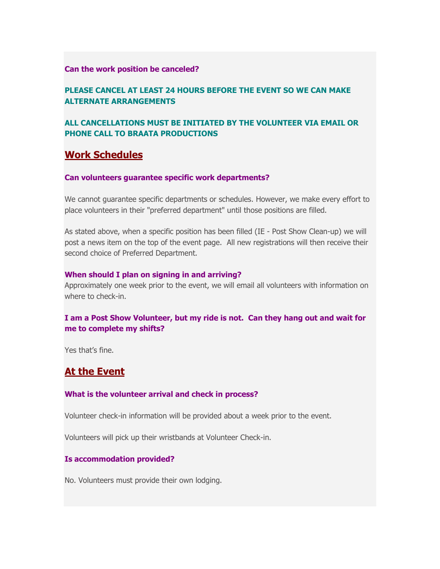### **Can the work position be canceled?**

## **PLEASE CANCEL AT LEAST 24 HOURS BEFORE THE EVENT SO WE CAN MAKE ALTERNATE ARRANGEMENTS**

## **ALL CANCELLATIONS MUST BE INITIATED BY THE VOLUNTEER VIA EMAIL OR PHONE CALL TO BRAATA PRODUCTIONS**

# **Work Schedules**

### **Can volunteers guarantee specific work departments?**

We cannot guarantee specific departments or schedules. However, we make every effort to place volunteers in their "preferred department" until those positions are filled.

As stated above, when a specific position has been filled (IE - Post Show Clean-up) we will post a news item on the top of the event page. All new registrations will then receive their second choice of Preferred Department.

### **When should I plan on signing in and arriving?**

Approximately one week prior to the event, we will email all volunteers with information on where to check-in.

## **I am a Post Show Volunteer, but my ride is not. Can they hang out and wait for me to complete my shifts?**

Yes that's fine

# **At the Event**

### **What is the volunteer arrival and check in process?**

Volunteer check-in information will be provided about a week prior to the event.

Volunteers will pick up their wristbands at Volunteer Check-in.

### **Is accommodation provided?**

No. Volunteers must provide their own lodging.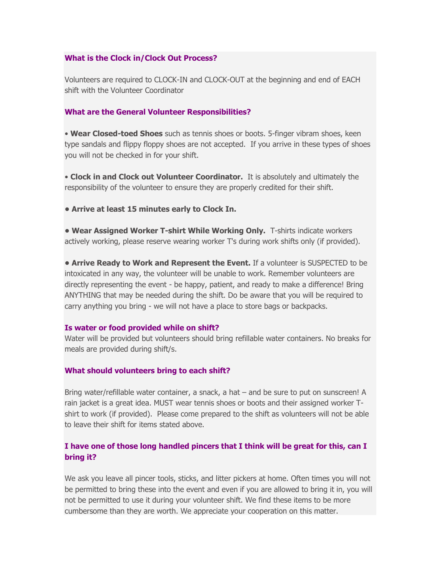#### **What is the Clock in/Clock Out Process?**

Volunteers are required to CLOCK-IN and CLOCK-OUT at the beginning and end of EACH shift with the Volunteer Coordinator

#### **What are the General Volunteer Responsibilities?**

• **Wear Closed-toed Shoes** such as tennis shoes or boots. 5-finger vibram shoes, keen type sandals and flippy floppy shoes are not accepted. If you arrive in these types of shoes you will not be checked in for your shift.

• **Clock in and Clock out Volunteer Coordinator.** It is absolutely and ultimately the responsibility of the volunteer to ensure they are properly credited for their shift.

**• Arrive at least 15 minutes early to Clock In.**

**• Wear Assigned Worker T-shirt While Working Only.** T-shirts indicate workers actively working, please reserve wearing worker T's during work shifts only (if provided).

**• Arrive Ready to Work and Represent the Event.** If a volunteer is SUSPECTED to be intoxicated in any way, the volunteer will be unable to work. Remember volunteers are directly representing the event - be happy, patient, and ready to make a difference! Bring ANYTHING that may be needed during the shift. Do be aware that you will be required to carry anything you bring - we will not have a place to store bags or backpacks.

#### **Is water or food provided while on shift?**

Water will be provided but volunteers should bring refillable water containers. No breaks for meals are provided during shift/s.

#### **What should volunteers bring to each shift?**

Bring water/refillable water container, a snack, a hat – and be sure to put on sunscreen! A rain jacket is a great idea. MUST wear tennis shoes or boots and their assigned worker Tshirt to work (if provided). Please come prepared to the shift as volunteers will not be able to leave their shift for items stated above.

## **I have one of those long handled pincers that I think will be great for this, can I bring it?**

We ask you leave all pincer tools, sticks, and litter pickers at home. Often times you will not be permitted to bring these into the event and even if you are allowed to bring it in, you will not be permitted to use it during your volunteer shift. We find these items to be more cumbersome than they are worth. We appreciate your cooperation on this matter.